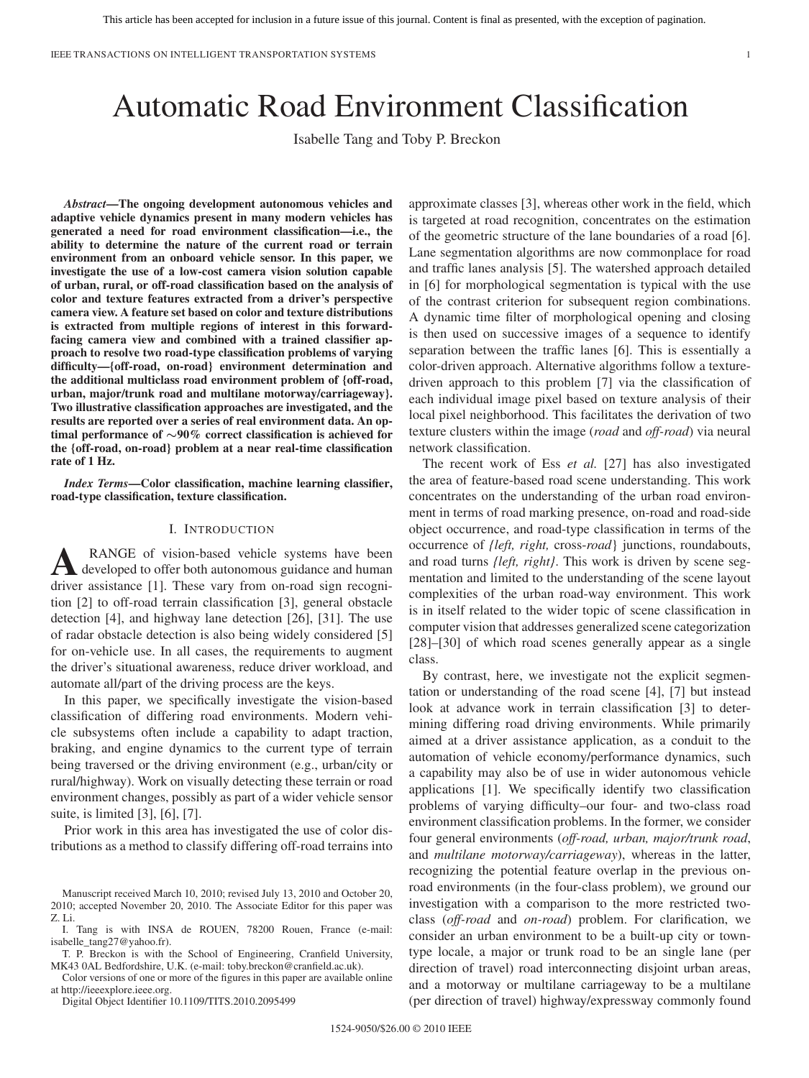IEEE TRANSACTIONS ON INTELLIGENT TRANSPORTATION SYSTEMS 1

# Automatic Road Environment Classification

Isabelle Tang and Toby P. Breckon

*Abstract***—The ongoing development autonomous vehicles and adaptive vehicle dynamics present in many modern vehicles has generated a need for road environment classification—i.e., the ability to determine the nature of the current road or terrain environment from an onboard vehicle sensor. In this paper, we investigate the use of a low-cost camera vision solution capable of urban, rural, or off-road classification based on the analysis of color and texture features extracted from a driver's perspective camera view. A feature set based on color and texture distributions is extracted from multiple regions of interest in this forwardfacing camera view and combined with a trained classifier approach to resolve two road-type classification problems of varying difficulty—{off-road, on-road} environment determination and the additional multiclass road environment problem of {off-road, urban, major/trunk road and multilane motorway/carriageway}. Two illustrative classification approaches are investigated, and the results are reported over a series of real environment data. An optimal performance of** *∼***90% correct classification is achieved for the {off-road, on-road} problem at a near real-time classification rate of 1 Hz.**

*Index Terms***—Color classification, machine learning classifier, road-type classification, texture classification.**

#### I. INTRODUCTION

**A** RANGE of vision-based vehicle systems have been<br>developed to offer both autonomous guidance and human driver assistance [1]. These vary from on-road sign recognition [2] to off-road terrain classification [3], general obstacle detection [4], and highway lane detection [26], [31]. The use of radar obstacle detection is also being widely considered [5] for on-vehicle use. In all cases, the requirements to augment the driver's situational awareness, reduce driver workload, and automate all/part of the driving process are the keys.

In this paper, we specifically investigate the vision-based classification of differing road environments. Modern vehicle subsystems often include a capability to adapt traction, braking, and engine dynamics to the current type of terrain being traversed or the driving environment (e.g., urban/city or rural/highway). Work on visually detecting these terrain or road environment changes, possibly as part of a wider vehicle sensor suite, is limited [3], [6], [7].

Prior work in this area has investigated the use of color distributions as a method to classify differing off-road terrains into

Color versions of one or more of the figures in this paper are available online at http://ieeexplore.ieee.org.

Digital Object Identifier 10.1109/TITS.2010.2095499

approximate classes [3], whereas other work in the field, which is targeted at road recognition, concentrates on the estimation of the geometric structure of the lane boundaries of a road [6]. Lane segmentation algorithms are now commonplace for road and traffic lanes analysis [5]. The watershed approach detailed in [6] for morphological segmentation is typical with the use of the contrast criterion for subsequent region combinations. A dynamic time filter of morphological opening and closing is then used on successive images of a sequence to identify separation between the traffic lanes [6]. This is essentially a color-driven approach. Alternative algorithms follow a texturedriven approach to this problem [7] via the classification of each individual image pixel based on texture analysis of their local pixel neighborhood. This facilitates the derivation of two texture clusters within the image (*road* and *off-road*) via neural network classification.

The recent work of Ess *et al.* [27] has also investigated the area of feature-based road scene understanding. This work concentrates on the understanding of the urban road environment in terms of road marking presence, on-road and road-side object occurrence, and road-type classification in terms of the occurrence of *{left, right,* cross-*road*} junctions, roundabouts, and road turns *{left, right}*. This work is driven by scene segmentation and limited to the understanding of the scene layout complexities of the urban road-way environment. This work is in itself related to the wider topic of scene classification in computer vision that addresses generalized scene categorization [28]–[30] of which road scenes generally appear as a single class.

By contrast, here, we investigate not the explicit segmentation or understanding of the road scene [4], [7] but instead look at advance work in terrain classification [3] to determining differing road driving environments. While primarily aimed at a driver assistance application, as a conduit to the automation of vehicle economy/performance dynamics, such a capability may also be of use in wider autonomous vehicle applications [1]. We specifically identify two classification problems of varying difficulty–our four- and two-class road environment classification problems. In the former, we consider four general environments (*off-road, urban, major/trunk road*, and *multilane motorway/carriageway*), whereas in the latter, recognizing the potential feature overlap in the previous onroad environments (in the four-class problem), we ground our investigation with a comparison to the more restricted twoclass (*off-road* and *on-road*) problem. For clarification, we consider an urban environment to be a built-up city or towntype locale, a major or trunk road to be an single lane (per direction of travel) road interconnecting disjoint urban areas, and a motorway or multilane carriageway to be a multilane (per direction of travel) highway/expressway commonly found

Manuscript received March 10, 2010; revised July 13, 2010 and October 20, 2010; accepted November 20, 2010. The Associate Editor for this paper was Z. Li.

I. Tang is with INSA de ROUEN, 78200 Rouen, France (e-mail: isabelle\_tang27@yahoo.fr).

T. P. Breckon is with the School of Engineering, Cranfield University, MK43 0AL Bedfordshire, U.K. (e-mail: toby.breckon@cranfield.ac.uk).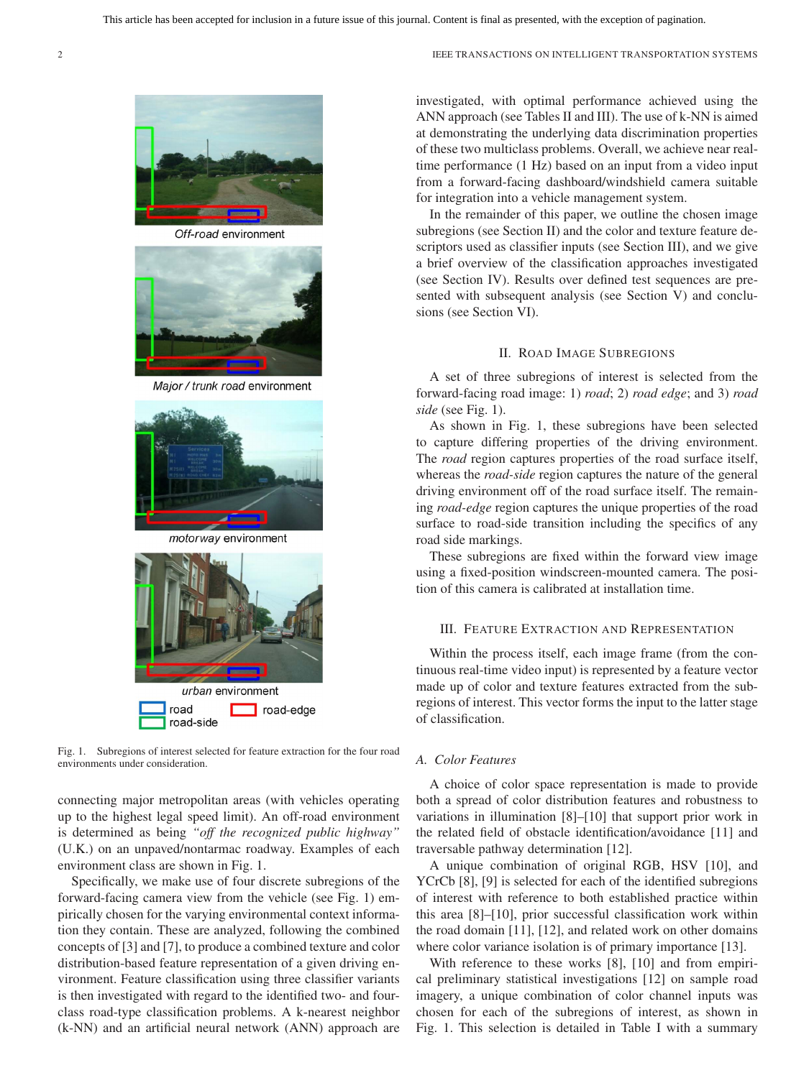

Off-road environment



Major / trunk road environment



motorway environment



Fig. 1. Subregions of interest selected for feature extraction for the four road environments under consideration.

connecting major metropolitan areas (with vehicles operating up to the highest legal speed limit). An off-road environment is determined as being *"off the recognized public highway"* (U.K.) on an unpaved/nontarmac roadway. Examples of each environment class are shown in Fig. 1.

Specifically, we make use of four discrete subregions of the forward-facing camera view from the vehicle (see Fig. 1) empirically chosen for the varying environmental context information they contain. These are analyzed, following the combined concepts of [3] and [7], to produce a combined texture and color distribution-based feature representation of a given driving environment. Feature classification using three classifier variants is then investigated with regard to the identified two- and fourclass road-type classification problems. A k-nearest neighbor (k-NN) and an artificial neural network (ANN) approach are investigated, with optimal performance achieved using the ANN approach (see Tables II and III). The use of k-NN is aimed at demonstrating the underlying data discrimination properties of these two multiclass problems. Overall, we achieve near realtime performance (1 Hz) based on an input from a video input from a forward-facing dashboard/windshield camera suitable for integration into a vehicle management system.

In the remainder of this paper, we outline the chosen image subregions (see Section II) and the color and texture feature descriptors used as classifier inputs (see Section III), and we give a brief overview of the classification approaches investigated (see Section IV). Results over defined test sequences are presented with subsequent analysis (see Section V) and conclusions (see Section VI).

## II. ROAD IMAGE SUBREGIONS

A set of three subregions of interest is selected from the forward-facing road image: 1) *road*; 2) *road edge*; and 3) *road side* (see Fig. 1).

As shown in Fig. 1, these subregions have been selected to capture differing properties of the driving environment. The *road* region captures properties of the road surface itself, whereas the *road-side* region captures the nature of the general driving environment off of the road surface itself. The remaining *road-edge* region captures the unique properties of the road surface to road-side transition including the specifics of any road side markings.

These subregions are fixed within the forward view image using a fixed-position windscreen-mounted camera. The position of this camera is calibrated at installation time.

# III. FEATURE EXTRACTION AND REPRESENTATION

Within the process itself, each image frame (from the continuous real-time video input) is represented by a feature vector made up of color and texture features extracted from the subregions of interest. This vector forms the input to the latter stage of classification.

## *A. Color Features*

A choice of color space representation is made to provide both a spread of color distribution features and robustness to variations in illumination [8]–[10] that support prior work in the related field of obstacle identification/avoidance [11] and traversable pathway determination [12].

A unique combination of original RGB, HSV [10], and YCrCb [8], [9] is selected for each of the identified subregions of interest with reference to both established practice within this area [8]–[10], prior successful classification work within the road domain [11], [12], and related work on other domains where color variance isolation is of primary importance [13].

With reference to these works [8], [10] and from empirical preliminary statistical investigations [12] on sample road imagery, a unique combination of color channel inputs was chosen for each of the subregions of interest, as shown in Fig. 1. This selection is detailed in Table I with a summary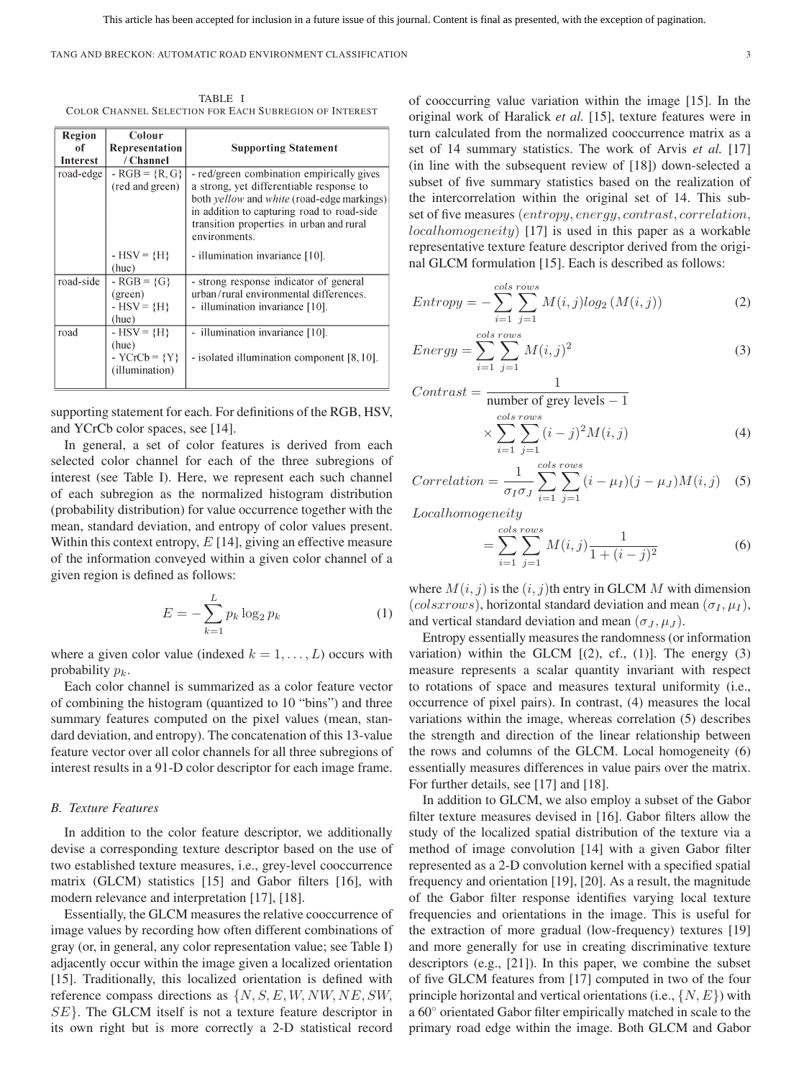TANG AND BRECKON: AUTOMATIC ROAD ENVIRONMENT CLASSIFICATION 3

TABLE I COLOR CHANNEL SELECTION FOR EACH SUBREGION OF INTEREST

| Region    | Colour          |                                            |
|-----------|-----------------|--------------------------------------------|
| of        | Representation  | <b>Supporting Statement</b>                |
| Interest  | / Channel       |                                            |
| road-edge | $-RGB = {R, G}$ | - red/green combination empirically gives  |
|           | (red and green) | a strong, yet differentiable response to   |
|           |                 | both yellow and white (road-edge markings) |
|           |                 | in addition to capturing road to road-side |
|           |                 | transition properties in urban and rural   |
|           |                 | environments.                              |
|           | $-HSV = {H}$    | - illumination invariance [10].            |
|           | (hue)           |                                            |
| road-side | $- RGB = {G}$   | - strong response indicator of general     |
|           | (green)         | urban/rural environmental differences.     |
|           | $-HSV = {H}$    | - illumination invariance [10].            |
|           | (hue)           |                                            |
| road      | $-HSV = {H}$    | illumination invariance [10].<br>÷         |
|           | (hue)           |                                            |
|           | - $YCrCb = {Y}$ | - isolated illumination component [8, 10]. |
|           | (illumination)  |                                            |
|           |                 |                                            |

supporting statement for each. For definitions of the RGB, HSV, and YCrCb color spaces, see [14].

In general, a set of color features is derived from each selected color channel for each of the three subregions of interest (see Table I). Here, we represent each such channel of each subregion as the normalized histogram distribution (probability distribution) for value occurrence together with the mean, standard deviation, and entropy of color values present. Within this context entropy,  $E$  [14], giving an effective measure of the information conveyed within a given color channel of a given region is defined as follows:

$$
E = -\sum_{k=1}^{L} p_k \log_2 p_k
$$
 (1)

where a given color value (indexed  $k = 1, \ldots, L$ ) occurs with probability  $p_k$ .

Each color channel is summarized as a color feature vector of combining the histogram (quantized to 10 "bins") and three summary features computed on the pixel values (mean, standard deviation, and entropy). The concatenation of this 13-value feature vector over all color channels for all three subregions of interest results in a 91-D color descriptor for each image frame.

## *B. Texture Features*

In addition to the color feature descriptor, we additionally devise a corresponding texture descriptor based on the use of two established texture measures, i.e., grey-level cooccurrence matrix (GLCM) statistics [15] and Gabor filters [16], with modern relevance and interpretation [17], [18].

Essentially, the GLCM measures the relative cooccurrence of image values by recording how often different combinations of gray (or, in general, any color representation value; see Table I) adjacently occur within the image given a localized orientation [15]. Traditionally, this localized orientation is defined with reference compass directions as  $\{N, S, E, W, NW, NE, SW,$ SE}. The GLCM itself is not a texture feature descriptor in its own right but is more correctly a 2-D statistical record

of cooccurring value variation within the image [15]. In the original work of Haralick *et al.* [15], texture features were in turn calculated from the normalized cooccurrence matrix as a set of 14 summary statistics. The work of Arvis *et al.* [17] (in line with the subsequent review of [18]) down-selected a subset of five summary statistics based on the realization of the intercorrelation within the original set of 14. This subset of five measures (entropy, energy, contrast, correlation, localhomogeneity) [17] is used in this paper as a workable representative texture feature descriptor derived from the original GLCM formulation [15]. Each is described as follows:

$$
Entropy = -\sum_{i=1}^{cols} \sum_{j=1}^{rows} M(i,j)log_2(M(i,j))
$$
 (2)

$$
Energy = \sum_{i=1}^{cols \, rows} \sum_{j=1}^{rows} M(i,j)^2 \tag{3}
$$

$$
Contrast = \frac{1}{\text{number of grey levels} - 1}
$$

$$
\times \sum_{i=1}^{cols \; rows} \sum_{j=1}^{rows} (i-j)^2 M(i,j) \tag{4}
$$

$$
Correlation = \frac{1}{\sigma_I \sigma_J} \sum_{i=1}^{cols \; rows} (i - \mu_I)(j - \mu_J)M(i, j) \quad (5)
$$

Localhomogeneity

$$
= \sum_{i=1}^{cols \; rows} \sum_{j=1}^{rows} M(i,j) \frac{1}{1 + (i-j)^2}
$$
 (6)

where  $M(i, j)$  is the  $(i, j)$ th entry in GLCM M with dimension (colsxrows), horizontal standard deviation and mean ( $\sigma_I, \mu_I$ ), and vertical standard deviation and mean  $(\sigma_J, \mu_J)$ .

Entropy essentially measures the randomness (or information variation) within the GLCM  $[(2), cf., (1)]$ . The energy  $(3)$ measure represents a scalar quantity invariant with respect to rotations of space and measures textural uniformity (i.e., occurrence of pixel pairs). In contrast, (4) measures the local variations within the image, whereas correlation (5) describes the strength and direction of the linear relationship between the rows and columns of the GLCM. Local homogeneity (6) essentially measures differences in value pairs over the matrix. For further details, see [17] and [18].

In addition to GLCM, we also employ a subset of the Gabor filter texture measures devised in [16]. Gabor filters allow the study of the localized spatial distribution of the texture via a method of image convolution [14] with a given Gabor filter represented as a 2-D convolution kernel with a specified spatial frequency and orientation [19], [20]. As a result, the magnitude of the Gabor filter response identifies varying local texture frequencies and orientations in the image. This is useful for the extraction of more gradual (low-frequency) textures [19] and more generally for use in creating discriminative texture descriptors (e.g., [21]). In this paper, we combine the subset of five GLCM features from [17] computed in two of the four principle horizontal and vertical orientations (i.e.,  $\{N, E\}$ ) with a 60◦ orientated Gabor filter empirically matched in scale to the primary road edge within the image. Both GLCM and Gabor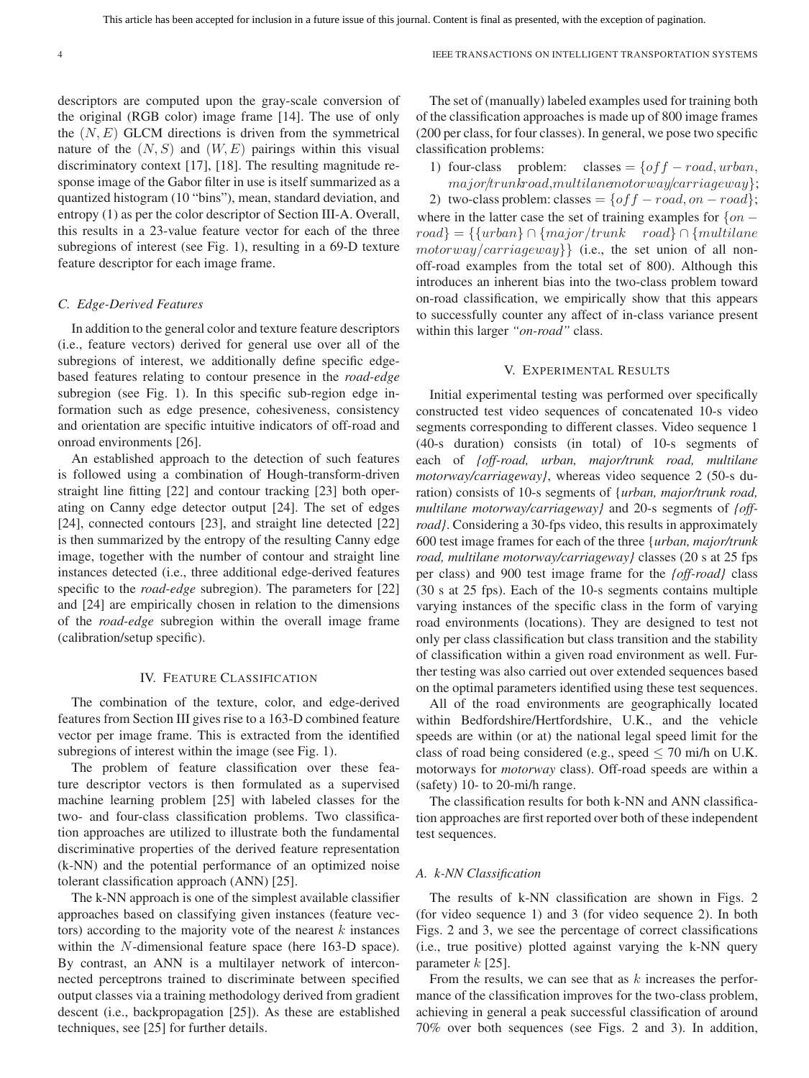descriptors are computed upon the gray-scale conversion of the original (RGB color) image frame [14]. The use of only the  $(N, E)$  GLCM directions is driven from the symmetrical nature of the  $(N, S)$  and  $(W, E)$  pairings within this visual discriminatory context [17], [18]. The resulting magnitude response image of the Gabor filter in use is itself summarized as a quantized histogram (10 "bins"), mean, standard deviation, and entropy (1) as per the color descriptor of Section III-A. Overall, this results in a 23-value feature vector for each of the three subregions of interest (see Fig. 1), resulting in a 69-D texture feature descriptor for each image frame.

#### *C. Edge-Derived Features*

In addition to the general color and texture feature descriptors (i.e., feature vectors) derived for general use over all of the subregions of interest, we additionally define specific edgebased features relating to contour presence in the *road-edge* subregion (see Fig. 1). In this specific sub-region edge information such as edge presence, cohesiveness, consistency and orientation are specific intuitive indicators of off-road and onroad environments [26].

An established approach to the detection of such features is followed using a combination of Hough-transform-driven straight line fitting [22] and contour tracking [23] both operating on Canny edge detector output [24]. The set of edges [24], connected contours [23], and straight line detected [22] is then summarized by the entropy of the resulting Canny edge image, together with the number of contour and straight line instances detected (i.e., three additional edge-derived features specific to the *road-edge* subregion). The parameters for [22] and [24] are empirically chosen in relation to the dimensions of the *road-edge* subregion within the overall image frame (calibration/setup specific).

## IV. FEATURE CLASSIFICATION

The combination of the texture, color, and edge-derived features from Section III gives rise to a 163-D combined feature vector per image frame. This is extracted from the identified subregions of interest within the image (see Fig. 1).

The problem of feature classification over these feature descriptor vectors is then formulated as a supervised machine learning problem [25] with labeled classes for the two- and four-class classification problems. Two classification approaches are utilized to illustrate both the fundamental discriminative properties of the derived feature representation (k-NN) and the potential performance of an optimized noise tolerant classification approach (ANN) [25].

The k-NN approach is one of the simplest available classifier approaches based on classifying given instances (feature vectors) according to the majority vote of the nearest  $k$  instances within the N-dimensional feature space (here 163-D space). By contrast, an ANN is a multilayer network of interconnected perceptrons trained to discriminate between specified output classes via a training methodology derived from gradient descent (i.e., backpropagation [25]). As these are established techniques, see [25] for further details.

The set of (manually) labeled examples used for training both of the classification approaches is made up of 800 image frames (200 per class, for four classes). In general, we pose two specific classification problems:

1) four-class problem: classes =  $\{off - road, urban,$ major/trunkroad,multilanemotorway/carriageway};

2) two-class problem: classes =  $\{off - road, on - road\};$ where in the latter case the set of training examples for  $\{on$  $road$ } = {{urban}∩{major/trunk road}∩{multilane  $motorway/carriageway$ } (i.e., the set union of all nonoff-road examples from the total set of 800). Although this introduces an inherent bias into the two-class problem toward on-road classification, we empirically show that this appears to successfully counter any affect of in-class variance present within this larger *"on-road"* class.

### V. EXPERIMENTAL RESULTS

Initial experimental testing was performed over specifically constructed test video sequences of concatenated 10-s video segments corresponding to different classes. Video sequence 1 (40-s duration) consists (in total) of 10-s segments of each of *{off-road, urban, major/trunk road, multilane motorway/carriageway}*, whereas video sequence 2 (50-s duration) consists of 10-s segments of {*urban, major/trunk road, multilane motorway/carriageway}* and 20-s segments of *{offroad}*. Considering a 30-fps video, this results in approximately 600 test image frames for each of the three {*urban, major/trunk road, multilane motorway/carriageway}* classes (20 s at 25 fps per class) and 900 test image frame for the *{off-road}* class (30 s at 25 fps). Each of the 10-s segments contains multiple varying instances of the specific class in the form of varying road environments (locations). They are designed to test not only per class classification but class transition and the stability of classification within a given road environment as well. Further testing was also carried out over extended sequences based on the optimal parameters identified using these test sequences.

All of the road environments are geographically located within Bedfordshire/Hertfordshire, U.K., and the vehicle speeds are within (or at) the national legal speed limit for the class of road being considered (e.g., speed  $\leq$  70 mi/h on U.K. motorways for *motorway* class). Off-road speeds are within a (safety) 10- to 20-mi/h range.

The classification results for both k-NN and ANN classification approaches are first reported over both of these independent test sequences.

## *A. k-NN Classification*

The results of k-NN classification are shown in Figs. 2 (for video sequence 1) and 3 (for video sequence 2). In both Figs. 2 and 3, we see the percentage of correct classifications (i.e., true positive) plotted against varying the k-NN query parameter  $k$  [25].

From the results, we can see that as  $k$  increases the performance of the classification improves for the two-class problem, achieving in general a peak successful classification of around 70% over both sequences (see Figs. 2 and 3). In addition,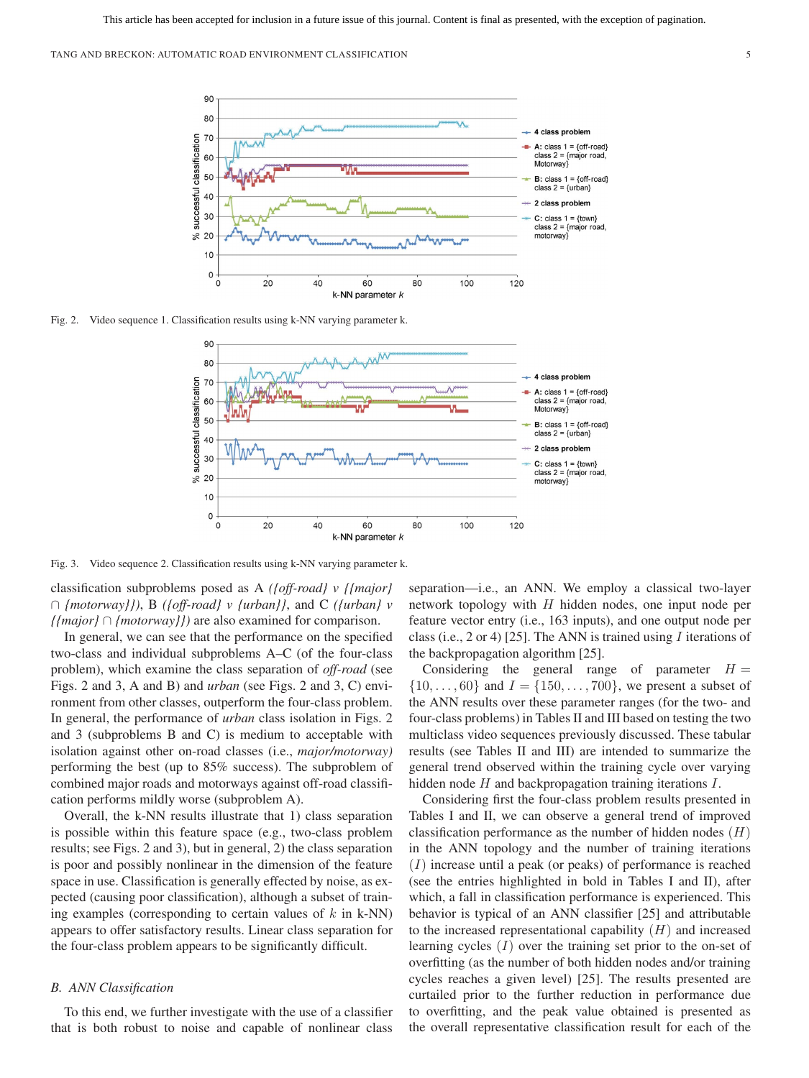

Fig. 2. Video sequence 1. Classification results using k-NN varying parameter k.



Fig. 3. Video sequence 2. Classification results using k-NN varying parameter k.

classification subproblems posed as A *({off-road} v {{major}* ∩ *{motorway}})*, B *({off-road} v {urban}}*, and C *({urban} v {{major}* ∩ *{motorway}})* are also examined for comparison.

In general, we can see that the performance on the specified two-class and individual subproblems A–C (of the four-class problem), which examine the class separation of *off-road* (see Figs. 2 and 3, A and B) and *urban* (see Figs. 2 and 3, C) environment from other classes, outperform the four-class problem. In general, the performance of *urban* class isolation in Figs. 2 and 3 (subproblems B and C) is medium to acceptable with isolation against other on-road classes (i.e., *major/motorway)* performing the best (up to 85% success). The subproblem of combined major roads and motorways against off-road classification performs mildly worse (subproblem A).

Overall, the k-NN results illustrate that 1) class separation is possible within this feature space (e.g., two-class problem results; see Figs. 2 and 3), but in general, 2) the class separation is poor and possibly nonlinear in the dimension of the feature space in use. Classification is generally effected by noise, as expected (causing poor classification), although a subset of training examples (corresponding to certain values of  $k$  in k-NN) appears to offer satisfactory results. Linear class separation for the four-class problem appears to be significantly difficult.

## *B. ANN Classification*

To this end, we further investigate with the use of a classifier that is both robust to noise and capable of nonlinear class

separation—i.e., an ANN. We employ a classical two-layer network topology with  $H$  hidden nodes, one input node per feature vector entry (i.e., 163 inputs), and one output node per class (i.e., 2 or 4) [25]. The ANN is trained using  $I$  iterations of the backpropagation algorithm [25].

Considering the general range of parameter  $H =$  $\{10,\ldots,60\}$  and  $I = \{150,\ldots,700\}$ , we present a subset of the ANN results over these parameter ranges (for the two- and four-class problems) in Tables II and III based on testing the two multiclass video sequences previously discussed. These tabular results (see Tables II and III) are intended to summarize the general trend observed within the training cycle over varying hidden node H and backpropagation training iterations I.

Considering first the four-class problem results presented in Tables I and II, we can observe a general trend of improved classification performance as the number of hidden nodes  $(H)$ in the ANN topology and the number of training iterations  $(I)$  increase until a peak (or peaks) of performance is reached (see the entries highlighted in bold in Tables I and II), after which, a fall in classification performance is experienced. This behavior is typical of an ANN classifier [25] and attributable to the increased representational capability  $(H)$  and increased learning cycles  $(I)$  over the training set prior to the on-set of overfitting (as the number of both hidden nodes and/or training cycles reaches a given level) [25]. The results presented are curtailed prior to the further reduction in performance due to overfitting, and the peak value obtained is presented as the overall representative classification result for each of the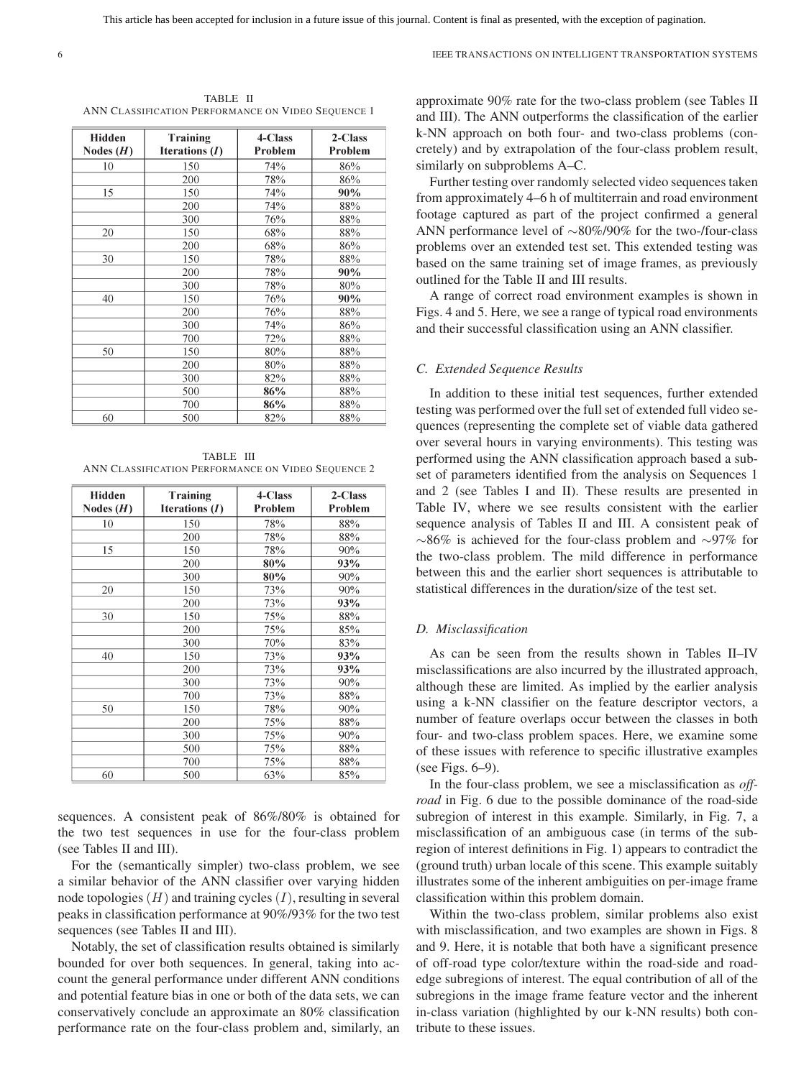TABLE II ANN CLASSIFICATION PERFORMANCE ON VIDEO SEQUENCE 1

| Hidden<br>Nodes $(H)$ | Training<br>Iterations $(I)$ | 4-Class<br>Problem | 2-Class<br>Problem |
|-----------------------|------------------------------|--------------------|--------------------|
| 10                    | 150                          | 74%                | 86%                |
|                       | 200                          | 78%                | 86%                |
| 15                    | 150                          | 74%                | 90%                |
|                       | 200                          | 74%                | 88%                |
|                       | 300                          | 76%                | 88%                |
| 20                    | 150                          | 68%                | 88%                |
|                       | 200                          | 68%                | 86%                |
| 30                    | 150                          | 78%                | 88%                |
|                       | 200                          | 78%                | 90%                |
|                       | 300                          | 78%                | 80%                |
| 40                    | 150                          | 76%                | 90%                |
|                       | 200                          | 76%                | 88%                |
|                       | 300                          | 74%                | 86%                |
|                       | 700                          | 72%                | 88%                |
| 50                    | 150                          | 80%                | 88%                |
|                       | 200                          | 80%                | 88%                |
|                       | 300                          | 82%                | 88%                |
|                       | 500                          | 86%                | 88%                |
|                       | 700                          | 86%                | 88%                |
| 60                    | 500                          | 82%                | 88%                |

TABLE III ANN CLASSIFICATION PERFORMANCE ON VIDEO SEQUENCE 2

| Hidden<br>Nodes $(H)$ | Training<br>Iterations $(I)$ | 4-Class<br>Problem | 2-Class<br>Problem |
|-----------------------|------------------------------|--------------------|--------------------|
| 10                    | 150                          | 78%                | 88%                |
|                       | 200                          | 78%                | 88%                |
| 15                    | 150                          | 78%                | 90%                |
|                       | 200                          | 80%                | 93%                |
|                       | 300                          | 80%                | 90%                |
| 20                    | 150                          | 73%                | 90%                |
|                       | 200                          | 73%                | 93%                |
| 30                    | 150                          | 75%                | 88%                |
|                       | 200                          | 75%                | 85%                |
|                       | 300                          | 70%                | 83%                |
| 40                    | 150                          | 73%                | 93%                |
|                       | 200                          | 73%                | 93%                |
|                       | 300                          | 73%                | 90%                |
|                       | 700                          | 73%                | 88%                |
| 50                    | 150                          | 78%                | 90%                |
|                       | 200                          | 75%                | 88%                |
|                       | 300                          | 75%                | 90%                |
|                       | 500                          | 75%                | 88%                |
|                       | 700                          | 75%                | 88%                |
| 60                    | 500                          | 63%                | 85%                |

sequences. A consistent peak of 86%/80% is obtained for the two test sequences in use for the four-class problem (see Tables II and III).

For the (semantically simpler) two-class problem, we see a similar behavior of the ANN classifier over varying hidden node topologies  $(H)$  and training cycles  $(I)$ , resulting in several peaks in classification performance at 90%/93% for the two test sequences (see Tables II and III).

Notably, the set of classification results obtained is similarly bounded for over both sequences. In general, taking into account the general performance under different ANN conditions and potential feature bias in one or both of the data sets, we can conservatively conclude an approximate an 80% classification performance rate on the four-class problem and, similarly, an approximate 90% rate for the two-class problem (see Tables II and III). The ANN outperforms the classification of the earlier k-NN approach on both four- and two-class problems (concretely) and by extrapolation of the four-class problem result, similarly on subproblems A–C.

Further testing over randomly selected video sequences taken from approximately 4–6 h of multiterrain and road environment footage captured as part of the project confirmed a general ANN performance level of ∼80%/90% for the two-/four-class problems over an extended test set. This extended testing was based on the same training set of image frames, as previously outlined for the Table II and III results.

A range of correct road environment examples is shown in Figs. 4 and 5. Here, we see a range of typical road environments and their successful classification using an ANN classifier.

#### *C. Extended Sequence Results*

In addition to these initial test sequences, further extended testing was performed over the full set of extended full video sequences (representing the complete set of viable data gathered over several hours in varying environments). This testing was performed using the ANN classification approach based a subset of parameters identified from the analysis on Sequences 1 and 2 (see Tables I and II). These results are presented in Table IV, where we see results consistent with the earlier sequence analysis of Tables II and III. A consistent peak of ∼86% is achieved for the four-class problem and ∼97% for the two-class problem. The mild difference in performance between this and the earlier short sequences is attributable to statistical differences in the duration/size of the test set.

#### *D. Misclassification*

As can be seen from the results shown in Tables II–IV misclassifications are also incurred by the illustrated approach, although these are limited. As implied by the earlier analysis using a k-NN classifier on the feature descriptor vectors, a number of feature overlaps occur between the classes in both four- and two-class problem spaces. Here, we examine some of these issues with reference to specific illustrative examples (see Figs. 6–9).

In the four-class problem, we see a misclassification as *offroad* in Fig. 6 due to the possible dominance of the road-side subregion of interest in this example. Similarly, in Fig. 7, a misclassification of an ambiguous case (in terms of the subregion of interest definitions in Fig. 1) appears to contradict the (ground truth) urban locale of this scene. This example suitably illustrates some of the inherent ambiguities on per-image frame classification within this problem domain.

Within the two-class problem, similar problems also exist with misclassification, and two examples are shown in Figs. 8 and 9. Here, it is notable that both have a significant presence of off-road type color/texture within the road-side and roadedge subregions of interest. The equal contribution of all of the subregions in the image frame feature vector and the inherent in-class variation (highlighted by our k-NN results) both contribute to these issues.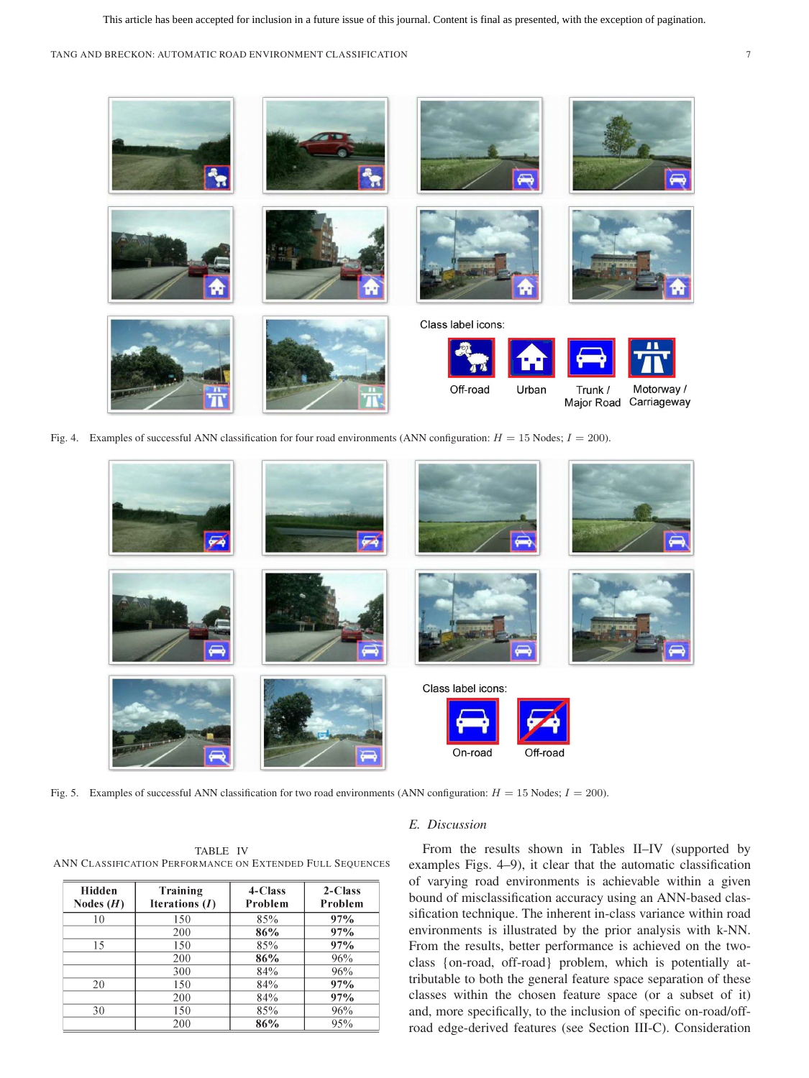TANG AND BRECKON: AUTOMATIC ROAD ENVIRONMENT CLASSIFICATION 7



Fig. 4. Examples of successful ANN classification for four road environments (ANN configuration:  $H = 15$  Nodes;  $I = 200$ ).



Fig. 5. Examples of successful ANN classification for two road environments (ANN configuration:  $H = 15$  Nodes;  $I = 200$ ).

TABLE IV ANN CLASSIFICATION PERFORMANCE ON EXTENDED FULL SEQUENCES

| <b>Hidden</b><br>Nodes $(H)$ | Training<br>Iterations $(I)$ | 4-Class<br>Problem | 2-Class<br>Problem |
|------------------------------|------------------------------|--------------------|--------------------|
| 10                           | 150                          | 85%                | 97%                |
|                              | 200                          | 86%                | 97%                |
| 15                           | 150                          | 85%                | 97%                |
|                              | 200                          | 86%                | 96%                |
|                              | 300                          | 84%                | 96%                |
| 20                           | 150                          | 84%                | 97%                |
|                              | 200                          | 84%                | 97%                |
| 30                           | 150                          | 85%                | 96%                |
|                              | 200                          | 86%                | 95%                |

#### *E. Discussion*

From the results shown in Tables II–IV (supported by examples Figs. 4–9), it clear that the automatic classification of varying road environments is achievable within a given bound of misclassification accuracy using an ANN-based classification technique. The inherent in-class variance within road environments is illustrated by the prior analysis with k-NN. From the results, better performance is achieved on the twoclass {on-road, off-road} problem, which is potentially attributable to both the general feature space separation of these classes within the chosen feature space (or a subset of it) and, more specifically, to the inclusion of specific on-road/offroad edge-derived features (see Section III-C). Consideration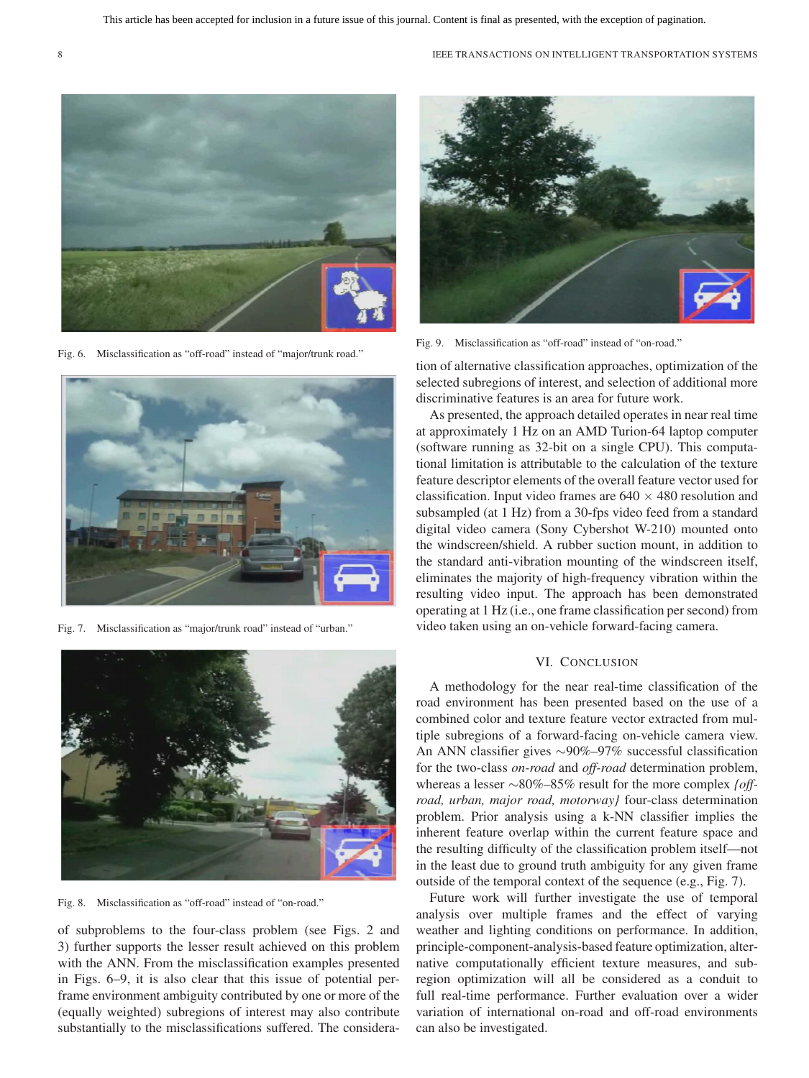

Fig. 6. Misclassification as "off-road" instead of "major/trunk road."



Fig. 7. Misclassification as "major/trunk road" instead of "urban."



Fig. 8. Misclassification as "off-road" instead of "on-road."

of subproblems to the four-class problem (see Figs. 2 and 3) further supports the lesser result achieved on this problem with the ANN. From the misclassification examples presented in Figs. 6–9, it is also clear that this issue of potential perframe environment ambiguity contributed by one or more of the (equally weighted) subregions of interest may also contribute substantially to the misclassifications suffered. The considera-



Fig. 9. Misclassification as "off-road" instead of "on-road."

tion of alternative classification approaches, optimization of the selected subregions of interest, and selection of additional more discriminative features is an area for future work.

As presented, the approach detailed operates in near real time at approximately 1 Hz on an AMD Turion-64 laptop computer (software running as 32-bit on a single CPU). This computational limitation is attributable to the calculation of the texture feature descriptor elements of the overall feature vector used for classification. Input video frames are  $640 \times 480$  resolution and subsampled (at 1 Hz) from a 30-fps video feed from a standard digital video camera (Sony Cybershot W-210) mounted onto the windscreen/shield. A rubber suction mount, in addition to the standard anti-vibration mounting of the windscreen itself, eliminates the majority of high-frequency vibration within the resulting video input. The approach has been demonstrated operating at 1 Hz (i.e., one frame classification per second) from video taken using an on-vehicle forward-facing camera.

## VI. CONCLUSION

A methodology for the near real-time classification of the road environment has been presented based on the use of a combined color and texture feature vector extracted from multiple subregions of a forward-facing on-vehicle camera view. An ANN classifier gives ∼90%–97% successful classification for the two-class *on-road* and *off-road* determination problem, whereas a lesser ∼80%–85% result for the more complex *{offroad, urban, major road, motorway}* four-class determination problem. Prior analysis using a k-NN classifier implies the inherent feature overlap within the current feature space and the resulting difficulty of the classification problem itself—not in the least due to ground truth ambiguity for any given frame outside of the temporal context of the sequence (e.g., Fig. 7).

Future work will further investigate the use of temporal analysis over multiple frames and the effect of varying weather and lighting conditions on performance. In addition, principle-component-analysis-based feature optimization, alternative computationally efficient texture measures, and subregion optimization will all be considered as a conduit to full real-time performance. Further evaluation over a wider variation of international on-road and off-road environments can also be investigated.